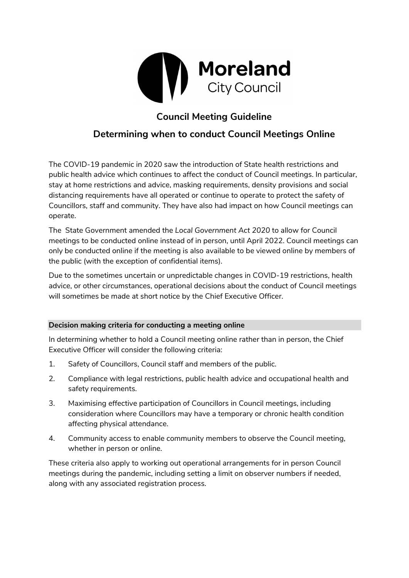

# **Council Meeting Guideline**

## **Determining when to conduct Council Meetings Online**

The COVID-19 pandemic in 2020 saw the introduction of State health restrictions and public health advice which continues to affect the conduct of Council meetings. In particular, stay at home restrictions and advice, masking requirements, density provisions and social distancing requirements have all operated or continue to operate to protect the safety of Councillors, staff and community. They have also had impact on how Council meetings can operate.

The State Government amended the *Local Government Act 2020* to allow for Council meetings to be conducted online instead of in person, until April 2022. Council meetings can only be conducted online if the meeting is also available to be viewed online by members of the public (with the exception of confidential items).

Due to the sometimes uncertain or unpredictable changes in COVID-19 restrictions, health advice, or other circumstances, operational decisions about the conduct of Council meetings will sometimes be made at short notice by the Chief Executive Officer.

### **Decision making criteria for conducting a meeting online**

In determining whether to hold a Council meeting online rather than in person, the Chief Executive Officer will consider the following criteria:

- 1. Safety of Councillors, Council staff and members of the public.
- 2. Compliance with legal restrictions, public health advice and occupational health and safety requirements.
- 3. Maximising effective participation of Councillors in Council meetings, including consideration where Councillors may have a temporary or chronic health condition affecting physical attendance.
- 4. Community access to enable community members to observe the Council meeting, whether in person or online.

These criteria also apply to working out operational arrangements for in person Council meetings during the pandemic, including setting a limit on observer numbers if needed, along with any associated registration process.